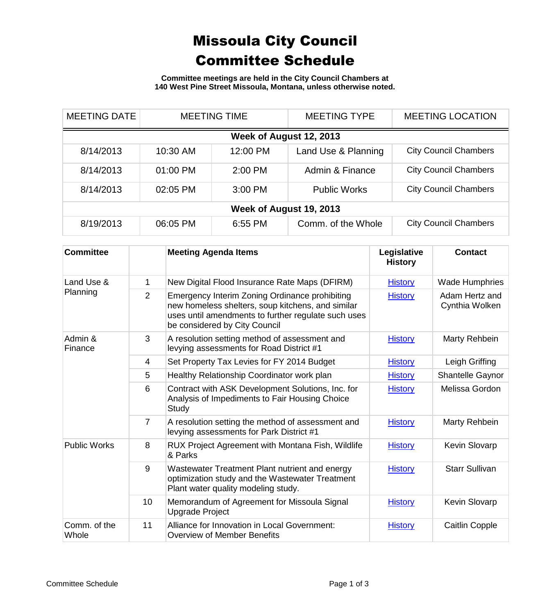## Missoula City Council Committee Schedule

**Committee meetings are held in the City Council Chambers at 140 West Pine Street Missoula, Montana, unless otherwise noted.**

| <b>MEETING DATE</b>     | <b>MEETING TIME</b> |          | <b>MEETING TYPE</b> | <b>MEETING LOCATION</b>      |  |
|-------------------------|---------------------|----------|---------------------|------------------------------|--|
| Week of August 12, 2013 |                     |          |                     |                              |  |
| 8/14/2013               | 10:30 AM            | 12:00 PM | Land Use & Planning | <b>City Council Chambers</b> |  |
| 8/14/2013               | 01:00 PM            | 2:00 PM  | Admin & Finance     | <b>City Council Chambers</b> |  |
| 8/14/2013               | 02:05 PM            | 3:00 PM  | <b>Public Works</b> | <b>City Council Chambers</b> |  |
| Week of August 19, 2013 |                     |          |                     |                              |  |
| 8/19/2013               | 06:05 PM            | 6:55 PM  | Comm. of the Whole  | <b>City Council Chambers</b> |  |

| <b>Committee</b>       |                | <b>Meeting Agenda Items</b>                                                                                                                                                                 | Legislative<br><b>History</b> | <b>Contact</b>                   |
|------------------------|----------------|---------------------------------------------------------------------------------------------------------------------------------------------------------------------------------------------|-------------------------------|----------------------------------|
| Land Use &<br>Planning | 1              | New Digital Flood Insurance Rate Maps (DFIRM)                                                                                                                                               | <b>History</b>                | <b>Wade Humphries</b>            |
|                        | $\overline{2}$ | Emergency Interim Zoning Ordinance prohibiting<br>new homeless shelters, soup kitchens, and similar<br>uses until amendments to further regulate such uses<br>be considered by City Council | <b>History</b>                | Adam Hertz and<br>Cynthia Wolken |
| Admin &<br>Finance     | 3              | A resolution setting method of assessment and<br>levying assessments for Road District #1                                                                                                   | <b>History</b>                | Marty Rehbein                    |
|                        | 4              | Set Property Tax Levies for FY 2014 Budget                                                                                                                                                  | <b>History</b>                | Leigh Griffing                   |
|                        | 5              | Healthy Relationship Coordinator work plan                                                                                                                                                  | <b>History</b>                | Shantelle Gaynor                 |
|                        | 6              | Contract with ASK Development Solutions, Inc. for<br>Analysis of Impediments to Fair Housing Choice<br>Study                                                                                | <b>History</b>                | Melissa Gordon                   |
|                        | $\overline{7}$ | A resolution setting the method of assessment and<br>levying assessments for Park District #1                                                                                               | <b>History</b>                | Marty Rehbein                    |
| <b>Public Works</b>    | 8              | RUX Project Agreement with Montana Fish, Wildlife<br>& Parks                                                                                                                                | <b>History</b>                | Kevin Slovarp                    |
|                        | 9              | Wastewater Treatment Plant nutrient and energy<br>optimization study and the Wastewater Treatment<br>Plant water quality modeling study.                                                    | <b>History</b>                | <b>Starr Sullivan</b>            |
|                        | 10             | Memorandum of Agreement for Missoula Signal<br><b>Upgrade Project</b>                                                                                                                       | <b>History</b>                | Kevin Slovarp                    |
| Comm. of the<br>Whole  | 11             | Alliance for Innovation in Local Government:<br>Overview of Member Benefits                                                                                                                 | <b>History</b>                | <b>Caitlin Copple</b>            |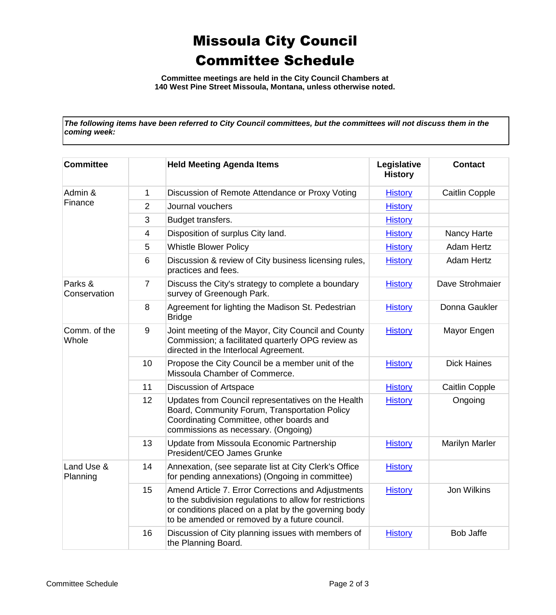## Missoula City Council Committee Schedule

**Committee meetings are held in the City Council Chambers at 140 West Pine Street Missoula, Montana, unless otherwise noted.**

*The following items have been referred to City Council committees, but the committees will not discuss them in the coming week:*

| <b>Committee</b>        |                | <b>Held Meeting Agenda Items</b>                                                                                                                                                                                        | Legislative<br><b>History</b> | <b>Contact</b>        |
|-------------------------|----------------|-------------------------------------------------------------------------------------------------------------------------------------------------------------------------------------------------------------------------|-------------------------------|-----------------------|
| Admin &<br>Finance      | 1              | Discussion of Remote Attendance or Proxy Voting                                                                                                                                                                         | <b>History</b>                | <b>Caitlin Copple</b> |
|                         | $\overline{2}$ | Journal vouchers                                                                                                                                                                                                        | <b>History</b>                |                       |
|                         | 3              | Budget transfers.                                                                                                                                                                                                       | <b>History</b>                |                       |
|                         | 4              | Disposition of surplus City land.                                                                                                                                                                                       | <b>History</b>                | Nancy Harte           |
|                         | 5              | <b>Whistle Blower Policy</b>                                                                                                                                                                                            | <b>History</b>                | <b>Adam Hertz</b>     |
|                         | 6              | Discussion & review of City business licensing rules,<br>practices and fees.                                                                                                                                            | <b>History</b>                | <b>Adam Hertz</b>     |
| Parks &<br>Conservation | $\overline{7}$ | Discuss the City's strategy to complete a boundary<br>survey of Greenough Park.                                                                                                                                         | <b>History</b>                | Dave Strohmaier       |
|                         | 8              | Agreement for lighting the Madison St. Pedestrian<br><b>Bridge</b>                                                                                                                                                      | <b>History</b>                | Donna Gaukler         |
| Comm. of the<br>Whole   | 9              | Joint meeting of the Mayor, City Council and County<br>Commission; a facilitated quarterly OPG review as<br>directed in the Interlocal Agreement.                                                                       | <b>History</b>                | Mayor Engen           |
|                         | 10             | Propose the City Council be a member unit of the<br>Missoula Chamber of Commerce.                                                                                                                                       | <b>History</b>                | <b>Dick Haines</b>    |
|                         | 11             | Discussion of Artspace                                                                                                                                                                                                  | <b>History</b>                | <b>Caitlin Copple</b> |
|                         | 12             | Updates from Council representatives on the Health<br>Board, Community Forum, Transportation Policy<br>Coordinating Committee, other boards and<br>commissions as necessary. (Ongoing)                                  | <b>History</b>                | Ongoing               |
|                         | 13             | Update from Missoula Economic Partnership<br>President/CEO James Grunke                                                                                                                                                 | <b>History</b>                | Marilyn Marler        |
| Land Use &<br>Planning  | 14             | Annexation, (see separate list at City Clerk's Office<br>for pending annexations) (Ongoing in committee)                                                                                                                | <b>History</b>                |                       |
|                         | 15             | Amend Article 7. Error Corrections and Adjustments<br>to the subdivision regulations to allow for restrictions<br>or conditions placed on a plat by the governing body<br>to be amended or removed by a future council. | <b>History</b>                | Jon Wilkins           |
|                         | 16             | Discussion of City planning issues with members of<br>the Planning Board.                                                                                                                                               | <b>History</b>                | <b>Bob Jaffe</b>      |